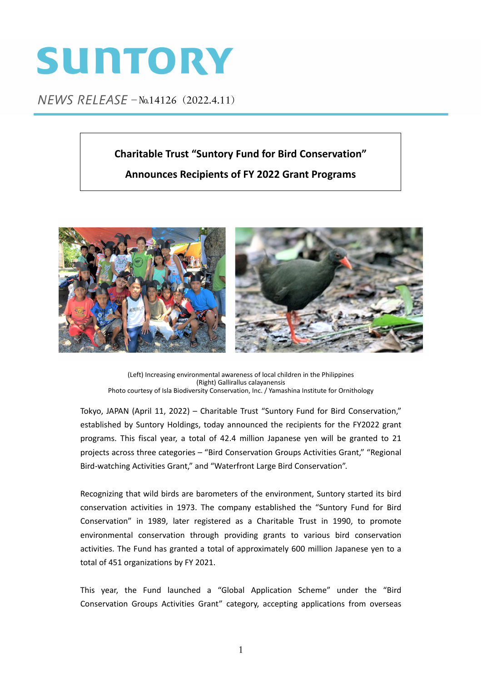# SUNTORY

NEWS RELEASE - No.14126 (2022.4.11)

# **Charitable Trust "Suntory Fund for Bird Conservation"**

# **Announces Recipients of FY 2022 Grant Programs**



(Left) Increasing environmental awareness of local children in the Philippines (Right) Gallirallus calayanensis Photo courtesy of Isla Biodiversity Conservation, Inc. / Yamashina Institute for Ornithology

Tokyo, JAPAN (April 11, 2022) – Charitable Trust "Suntory Fund for Bird Conservation," established by Suntory Holdings, today announced the recipients for the FY2022 grant programs. This fiscal year, a total of 42.4 million Japanese yen will be granted to 21 projects across three categories – "Bird Conservation Groups Activities Grant," "Regional Bird‐watching Activities Grant," and "Waterfront Large Bird Conservation".

Recognizing that wild birds are barometers of the environment, Suntory started its bird conservation activities in 1973. The company established the "Suntory Fund for Bird Conservation" in 1989, later registered as a Charitable Trust in 1990, to promote environmental conservation through providing grants to various bird conservation activities. The Fund has granted a total of approximately 600 million Japanese yen to a total of 451 organizations by FY 2021.

This year, the Fund launched a "Global Application Scheme" under the "Bird Conservation Groups Activities Grant" category, accepting applications from overseas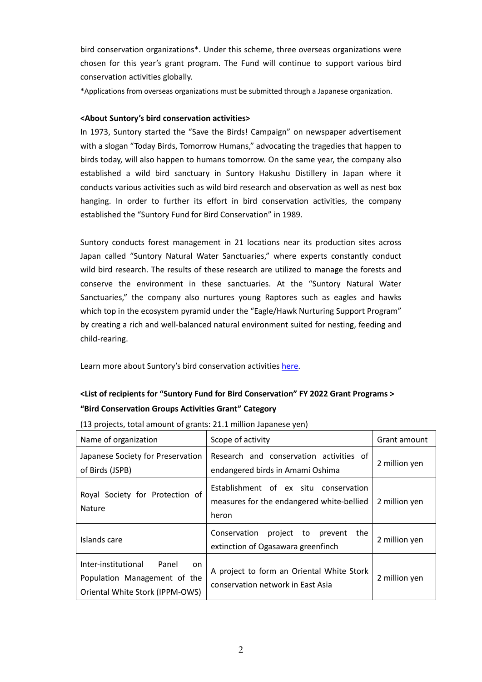bird conservation organizations\*. Under this scheme, three overseas organizations were chosen for this year's grant program. The Fund will continue to support various bird conservation activities globally.

\*Applications from overseas organizations must be submitted through a Japanese organization.

#### **<About Suntory's bird conservation activities>**

In 1973, Suntory started the "Save the Birds! Campaign" on newspaper advertisement with a slogan "Today Birds, Tomorrow Humans," advocating the tragedies that happen to birds today, will also happen to humans tomorrow. On the same year, the company also established a wild bird sanctuary in Suntory Hakushu Distillery in Japan where it conducts various activities such as wild bird research and observation as well as nest box hanging. In order to further its effort in bird conservation activities, the company established the "Suntory Fund for Bird Conservation" in 1989.

Suntory conducts forest management in 21 locations near its production sites across Japan called "Suntory Natural Water Sanctuaries," where experts constantly conduct wild bird research. The results of these research are utilized to manage the forests and conserve the environment in these sanctuaries. At the "Suntory Natural Water Sanctuaries," the company also nurtures young Raptores such as eagles and hawks which top in the ecosystem pyramid under the "Eagle/Hawk Nurturing Support Program" by creating a rich and well‐balanced natural environment suited for nesting, feeding and child‐rearing.

Learn more about Suntory's bird conservation activities [here.](https://www.suntory.com/csr/activity/environment/eco/birds/)

### **<List of recipients for "Suntory Fund for Bird Conservation" FY 2022 Grant Programs > "Bird Conservation Groups Activities Grant" Category**

| Name of organization                                                                                  | Scope of activity                                                                           | Grant amount  |
|-------------------------------------------------------------------------------------------------------|---------------------------------------------------------------------------------------------|---------------|
| Japanese Society for Preservation<br>of Birds (JSPB)                                                  | Research and conservation activities of<br>endangered birds in Amami Oshima                 | 2 million yen |
| Royal Society for Protection of<br>Nature                                                             | Establishment of ex situ conservation<br>measures for the endangered white-bellied<br>heron | 2 million yen |
| Islands care                                                                                          | Conservation<br>project to prevent<br>the<br>extinction of Ogasawara greenfinch             | 2 million yen |
| Inter-institutional<br>Panel<br>on<br>Population Management of the<br>Oriental White Stork (IPPM-OWS) | A project to form an Oriental White Stork<br>conservation network in East Asia              | 2 million yen |

(13 projects, total amount of grants: 21.1 million Japanese yen)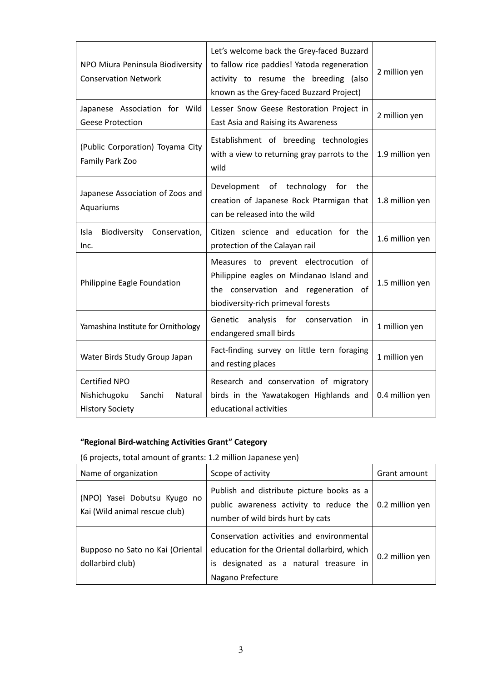| NPO Miura Peninsula Biodiversity<br><b>Conservation Network</b>                     | Let's welcome back the Grey-faced Buzzard<br>to fallow rice paddies! Yatoda regeneration<br>activity to resume the breeding (also<br>known as the Grey-faced Buzzard Project) | 2 million yen   |
|-------------------------------------------------------------------------------------|-------------------------------------------------------------------------------------------------------------------------------------------------------------------------------|-----------------|
| Japanese Association for Wild<br><b>Geese Protection</b>                            | Lesser Snow Geese Restoration Project in<br>East Asia and Raising its Awareness                                                                                               | 2 million yen   |
| (Public Corporation) Toyama City<br>Family Park Zoo                                 | Establishment of breeding technologies<br>with a view to returning gray parrots to the<br>wild                                                                                | 1.9 million yen |
| Japanese Association of Zoos and<br>Aquariums                                       | Development of technology for<br>the<br>creation of Japanese Rock Ptarmigan that<br>can be released into the wild                                                             | 1.8 million yen |
| Isla<br>Biodiversity Conservation,<br>Inc.                                          | Citizen science and education for the<br>protection of the Calayan rail                                                                                                       | 1.6 million yen |
| Philippine Eagle Foundation                                                         | Measures to prevent electrocution of<br>Philippine eagles on Mindanao Island and<br>the conservation and regeneration of<br>biodiversity-rich primeval forests                | 1.5 million yen |
| Yamashina Institute for Ornithology                                                 | analysis for conservation<br>Genetic<br>in<br>endangered small birds                                                                                                          | 1 million yen   |
| Water Birds Study Group Japan                                                       | Fact-finding survey on little tern foraging<br>and resting places                                                                                                             | 1 million yen   |
| <b>Certified NPO</b><br>Nishichugoku<br>Sanchi<br>Natural<br><b>History Society</b> | Research and conservation of migratory<br>birds in the Yawatakogen Highlands and<br>educational activities                                                                    | 0.4 million yen |

# **"Regional Bird‐watching Activities Grant" Category**

(6 projects, total amount of grants: 1.2 million Japanese yen)

| Name of organization                                          | Scope of activity                                                                                                                                            | Grant amount    |
|---------------------------------------------------------------|--------------------------------------------------------------------------------------------------------------------------------------------------------------|-----------------|
| (NPO) Yasei Dobutsu Kyugo no<br>Kai (Wild animal rescue club) | Publish and distribute picture books as a<br>public awareness activity to reduce the<br>number of wild birds hurt by cats                                    | 0.2 million yen |
| Bupposo no Sato no Kai (Oriental<br>dollarbird club)          | Conservation activities and environmental<br>education for the Oriental dollarbird, which<br>designated as a natural treasure in<br>is.<br>Nagano Prefecture | 0.2 million yen |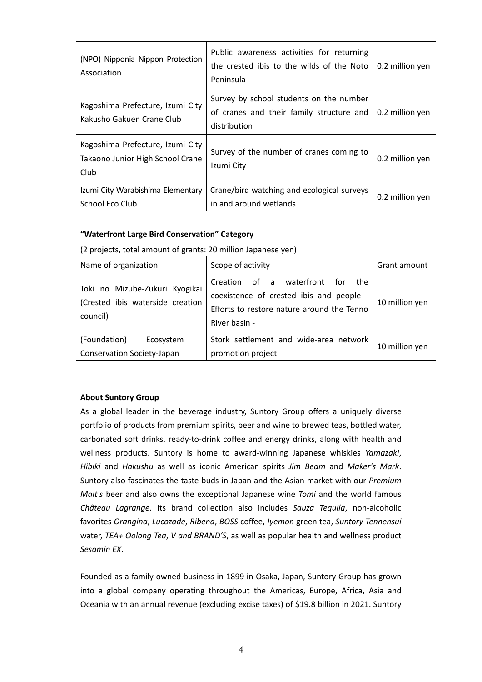| (NPO) Nipponia Nippon Protection<br>Association                              | Public awareness activities for returning<br>the crested ibis to the wilds of the Noto<br>Peninsula | 0.2 million yen |
|------------------------------------------------------------------------------|-----------------------------------------------------------------------------------------------------|-----------------|
| Kagoshima Prefecture, Izumi City<br>Kakusho Gakuen Crane Club                | Survey by school students on the number<br>of cranes and their family structure and<br>distribution | 0.2 million yen |
| Kagoshima Prefecture, Izumi City<br>Takaono Junior High School Crane<br>Club | Survey of the number of cranes coming to<br>Izumi City                                              | 0.2 million yen |
| Izumi City Warabishima Elementary<br>School Eco Club                         | Crane/bird watching and ecological surveys<br>in and around wetlands                                | 0.2 million yen |

#### **"Waterfront Large Bird Conservation" Category**

(2 projects, total amount of grants: 20 million Japanese yen)

| Name of organization                                                           | Scope of activity                                                                                                                                 | Grant amount   |
|--------------------------------------------------------------------------------|---------------------------------------------------------------------------------------------------------------------------------------------------|----------------|
| Toki no Mizube-Zukuri Kyogikai<br>(Crested ibis waterside creation<br>council) | Creation of a waterfront<br>for<br>the<br>coexistence of crested ibis and people -<br>Efforts to restore nature around the Tenno<br>River basin - | 10 million yen |
| (Foundation)<br>Ecosystem<br>Conservation Society-Japan                        | Stork settlement and wide-area network<br>promotion project                                                                                       | 10 million yen |

#### **About Suntory Group**

As a global leader in the beverage industry, Suntory Group offers a uniquely diverse portfolio of products from premium spirits, beer and wine to brewed teas, bottled water, carbonated soft drinks, ready‐to‐drink coffee and energy drinks, along with health and wellness products. Suntory is home to award‐winning Japanese whiskies *Yamazaki*, *Hibiki* and *Hakushu* as well as iconic American spirits *Jim Beam* and *Maker's Mark*. Suntory also fascinates the taste buds in Japan and the Asian market with our *Premium Malt's* beer and also owns the exceptional Japanese wine *Tomi* and the world famous *Château Lagrange*. Its brand collection also includes *Sauza Tequila*, non‐alcoholic favorites *Orangina*, *Lucozade*, *Ribena*, *BOSS* coffee, *Iyemon* green tea, *Suntory Tennensui* water, *TEA+ Oolong Tea*, *V and BRAND'S*, as well as popular health and wellness product *Sesamin EX*.

Founded as a family‐owned business in 1899 in Osaka, Japan, Suntory Group has grown into a global company operating throughout the Americas, Europe, Africa, Asia and Oceania with an annual revenue (excluding excise taxes) of \$19.8 billion in 2021. Suntory